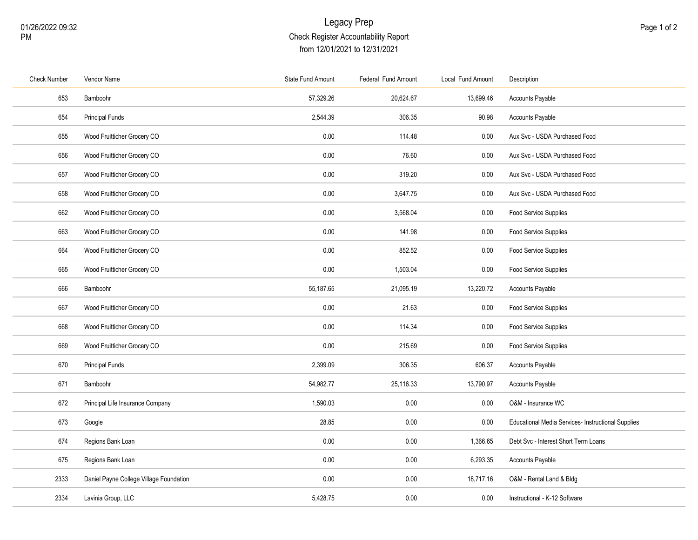## Legacy Prep Check Register Accountability Report from 12/01/2021 to 12/31/2021

| <b>Check Number</b> | Vendor Name                             | State Fund Amount | Federal Fund Amount | Local Fund Amount | Description                                        |
|---------------------|-----------------------------------------|-------------------|---------------------|-------------------|----------------------------------------------------|
| 653                 | Bamboohr                                | 57,329.26         | 20,624.67           | 13,699.46         | Accounts Payable                                   |
| 654                 | <b>Principal Funds</b>                  | 2,544.39          | 306.35              | 90.98             | <b>Accounts Payable</b>                            |
| 655                 | Wood Fruitticher Grocery CO             | 0.00              | 114.48              | 0.00              | Aux Svc - USDA Purchased Food                      |
| 656                 | Wood Fruitticher Grocery CO             | 0.00              | 76.60               | 0.00              | Aux Svc - USDA Purchased Food                      |
| 657                 | Wood Fruitticher Grocery CO             | 0.00              | 319.20              | $0.00\,$          | Aux Svc - USDA Purchased Food                      |
| 658                 | Wood Fruitticher Grocery CO             | 0.00              | 3,647.75            | 0.00              | Aux Svc - USDA Purchased Food                      |
| 662                 | Wood Fruitticher Grocery CO             | 0.00              | 3,568.04            | 0.00              | Food Service Supplies                              |
| 663                 | Wood Fruitticher Grocery CO             | 0.00              | 141.98              | 0.00              | <b>Food Service Supplies</b>                       |
| 664                 | Wood Fruitticher Grocery CO             | 0.00              | 852.52              | 0.00              | Food Service Supplies                              |
| 665                 | Wood Fruitticher Grocery CO             | 0.00              | 1,503.04            | 0.00              | Food Service Supplies                              |
| 666                 | Bamboohr                                | 55,187.65         | 21,095.19           | 13,220.72         | Accounts Payable                                   |
| 667                 | Wood Fruitticher Grocery CO             | 0.00              | 21.63               | 0.00              | Food Service Supplies                              |
| 668                 | Wood Fruitticher Grocery CO             | 0.00              | 114.34              | 0.00              | Food Service Supplies                              |
| 669                 | Wood Fruitticher Grocery CO             | 0.00              | 215.69              | 0.00              | Food Service Supplies                              |
| 670                 | <b>Principal Funds</b>                  | 2,399.09          | 306.35              | 606.37            | Accounts Payable                                   |
| 671                 | Bamboohr                                | 54,982.77         | 25,116.33           | 13,790.97         | Accounts Payable                                   |
| 672                 | Principal Life Insurance Company        | 1,590.03          | 0.00                | 0.00              | O&M - Insurance WC                                 |
| 673                 | Google                                  | 28.85             | 0.00                | 0.00              | Educational Media Services- Instructional Supplies |
| 674                 | Regions Bank Loan                       | 0.00              | 0.00                | 1,366.65          | Debt Svc - Interest Short Term Loans               |
| 675                 | Regions Bank Loan                       | 0.00              | 0.00                | 6,293.35          | Accounts Payable                                   |
| 2333                | Daniel Payne College Village Foundation | 0.00              | 0.00                | 18,717.16         | O&M - Rental Land & Bldg                           |
| 2334                | Lavinia Group, LLC                      | 5,428.75          | 0.00                | 0.00              | Instructional - K-12 Software                      |
|                     |                                         |                   |                     |                   |                                                    |